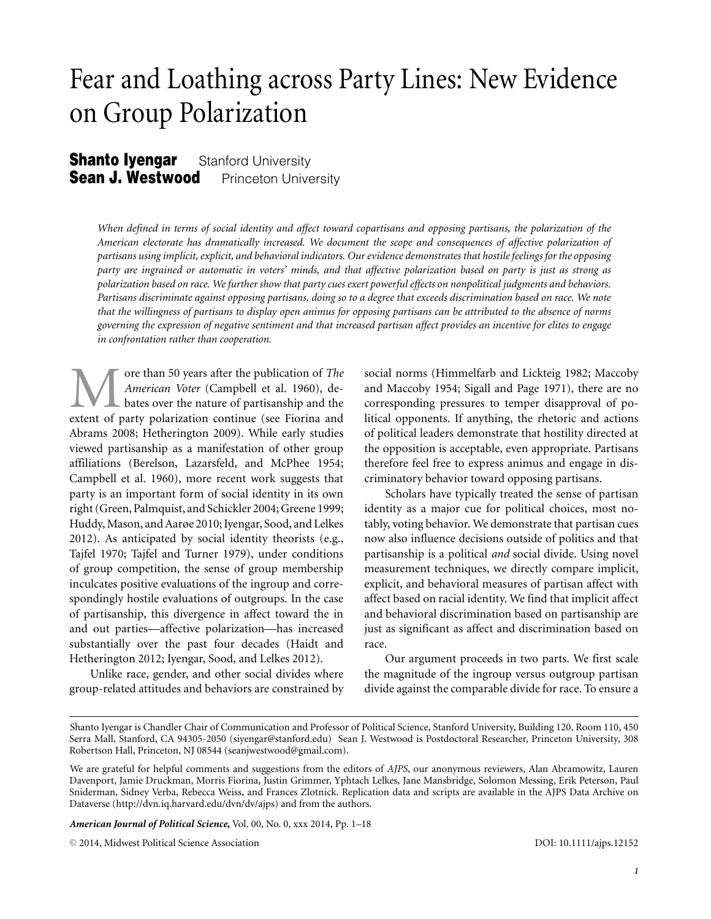# Fear and Loathing across Party Lines: New Evidence on Group Polarization

**Shanto Ivengar** Stanford University **Sean J. Westwood** Princeton University

> *When defined in terms of social identity and affect toward copartisans and opposing partisans, the polarization of the American electorate has dramatically increased. We document the scope and consequences of affective polarization of partisans using implicit, explicit, and behavioral indicators. Our evidence demonstrates that hostile feelings for the opposing party are ingrained or automatic in voters' minds, and that affective polarization based on party is just as strong as polarization based on race. We further show that party cues exert powerful effects on nonpolitical judgments and behaviors. Partisans discriminate against opposing partisans, doing so to a degree that exceeds discrimination based on race. We note that the willingness of partisans to display open animus for opposing partisans can be attributed to the absence of norms governing the expression of negative sentiment and that increased partisan affect provides an incentive for elites to engage in confrontation rather than cooperation.*

**M** ore than 50 years after the publication of *The*<br>American Voter (Campbell et al. 1960), de-<br>bates over the nature of partisanship and the<br>extent of party polarization continue (see Fiorina and *American Voter* (Campbell et al. 1960), debates over the nature of partisanship and the extent of party polarization continue (see Fiorina and Abrams 2008; Hetherington 2009). While early studies viewed partisanship as a manifestation of other group affiliations (Berelson, Lazarsfeld, and McPhee 1954; Campbell et al. 1960), more recent work suggests that party is an important form of social identity in its own right (Green, Palmquist, and Schickler 2004; Greene 1999; Huddy, Mason, and Aarøe 2010; Iyengar, Sood, and Lelkes 2012). As anticipated by social identity theorists (e.g., Tajfel 1970; Tajfel and Turner 1979), under conditions of group competition, the sense of group membership inculcates positive evaluations of the ingroup and correspondingly hostile evaluations of outgroups. In the case of partisanship, this divergence in affect toward the in and out parties—affective polarization—has increased substantially over the past four decades (Haidt and Hetherington 2012; Iyengar, Sood, and Lelkes 2012).

Unlike race, gender, and other social divides where group-related attitudes and behaviors are constrained by social norms (Himmelfarb and Lickteig 1982; Maccoby and Maccoby 1954; Sigall and Page 1971), there are no corresponding pressures to temper disapproval of political opponents. If anything, the rhetoric and actions of political leaders demonstrate that hostility directed at the opposition is acceptable, even appropriate. Partisans therefore feel free to express animus and engage in discriminatory behavior toward opposing partisans.

Scholars have typically treated the sense of partisan identity as a major cue for political choices, most notably, voting behavior. We demonstrate that partisan cues now also influence decisions outside of politics and that partisanship is a political *and* social divide. Using novel measurement techniques, we directly compare implicit, explicit, and behavioral measures of partisan affect with affect based on racial identity. We find that implicit affect and behavioral discrimination based on partisanship are just as significant as affect and discrimination based on race.

Our argument proceeds in two parts. We first scale the magnitude of the ingroup versus outgroup partisan divide against the comparable divide for race. To ensure a

-<sup>C</sup> 2014, Midwest Political Science Association DOI: 10.1111/ajps.12152

Shanto Iyengar is Chandler Chair of Communication and Professor of Political Science, Stanford University, Building 120, Room 110, 450 Serra Mall, Stanford, CA 94305-2050 (siyengar@stanford.edu) Sean J. Westwood is Postdoctoral Researcher, Princeton University, 308 Robertson Hall, Princeton, NJ 08544 (seanjwestwood@gmail.com).

We are grateful for helpful comments and suggestions from the editors of *AJPS*, our anonymous reviewers, Alan Abramowitz, Lauren Davenport, Jamie Druckman, Morris Fiorina, Justin Grimmer, Yphtach Lelkes, Jane Mansbridge, Solomon Messing, Erik Peterson, Paul Sniderman, Sidney Verba, Rebecca Weiss, and Frances Zlotnick. Replication data and scripts are available in the AJPS Data Archive on Dataverse (http://dvn.iq.harvard.edu/dvn/dv/ajps) and from the authors.

*American Journal of Political Science***,** Vol. 00, No. 0, xxx 2014, Pp. 1–18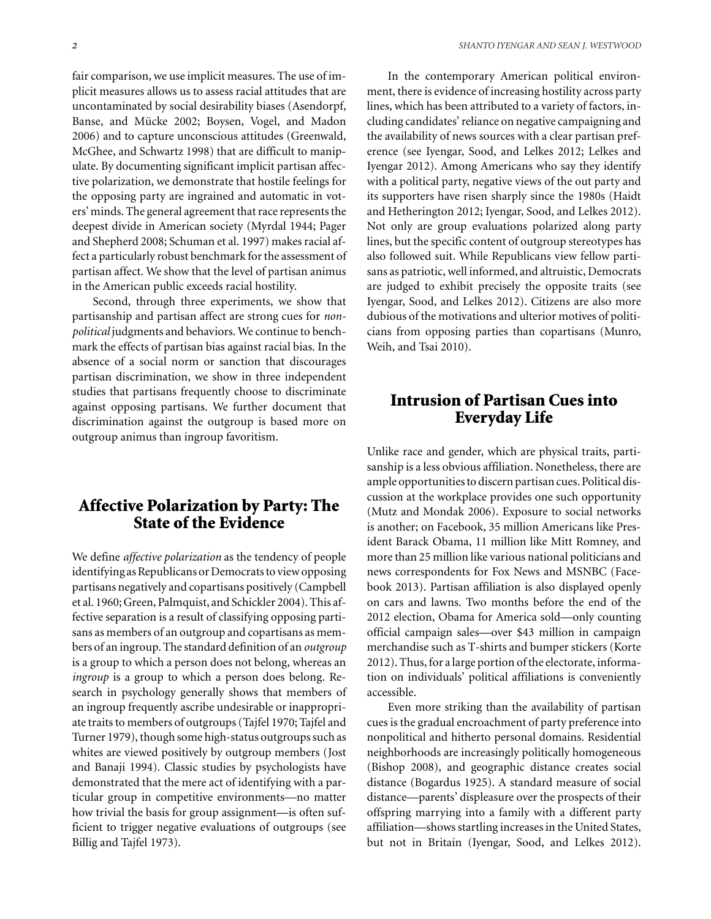fair comparison, we use implicit measures. The use of implicit measures allows us to assess racial attitudes that are uncontaminated by social desirability biases (Asendorpf, Banse, and Mücke 2002; Boysen, Vogel, and Madon 2006) and to capture unconscious attitudes (Greenwald, McGhee, and Schwartz 1998) that are difficult to manipulate. By documenting significant implicit partisan affective polarization, we demonstrate that hostile feelings for the opposing party are ingrained and automatic in voters' minds. The general agreement that race represents the deepest divide in American society (Myrdal 1944; Pager and Shepherd 2008; Schuman et al. 1997) makes racial affect a particularly robust benchmark for the assessment of partisan affect. We show that the level of partisan animus in the American public exceeds racial hostility.

Second, through three experiments, we show that partisanship and partisan affect are strong cues for *nonpolitical* judgments and behaviors. We continue to benchmark the effects of partisan bias against racial bias. In the absence of a social norm or sanction that discourages partisan discrimination, we show in three independent studies that partisans frequently choose to discriminate against opposing partisans. We further document that discrimination against the outgroup is based more on outgroup animus than ingroup favoritism.

# **Affective Polarization by Party: The State of the Evidence**

We define *affective polarization* as the tendency of people identifying as Republicans or Democrats to view opposing partisans negatively and copartisans positively (Campbell et al. 1960; Green, Palmquist, and Schickler 2004). This affective separation is a result of classifying opposing partisans as members of an outgroup and copartisans as members of an ingroup. The standard definition of an *outgroup* is a group to which a person does not belong, whereas an *ingroup* is a group to which a person does belong. Research in psychology generally shows that members of an ingroup frequently ascribe undesirable or inappropriate traits to members of outgroups (Tajfel 1970; Tajfel and Turner 1979), though some high-status outgroups such as whites are viewed positively by outgroup members (Jost and Banaji 1994). Classic studies by psychologists have demonstrated that the mere act of identifying with a particular group in competitive environments—no matter how trivial the basis for group assignment—is often sufficient to trigger negative evaluations of outgroups (see Billig and Tajfel 1973).

In the contemporary American political environment, there is evidence of increasing hostility across party lines, which has been attributed to a variety of factors, including candidates' reliance on negative campaigning and the availability of news sources with a clear partisan preference (see Iyengar, Sood, and Lelkes 2012; Lelkes and Iyengar 2012). Among Americans who say they identify with a political party, negative views of the out party and its supporters have risen sharply since the 1980s (Haidt and Hetherington 2012; Iyengar, Sood, and Lelkes 2012). Not only are group evaluations polarized along party lines, but the specific content of outgroup stereotypes has also followed suit. While Republicans view fellow partisans as patriotic, well informed, and altruistic, Democrats are judged to exhibit precisely the opposite traits (see Iyengar, Sood, and Lelkes 2012). Citizens are also more dubious of the motivations and ulterior motives of politicians from opposing parties than copartisans (Munro, Weih, and Tsai 2010).

# **Intrusion of Partisan Cues into Everyday Life**

Unlike race and gender, which are physical traits, partisanship is a less obvious affiliation. Nonetheless, there are ample opportunities to discern partisan cues. Political discussion at the workplace provides one such opportunity (Mutz and Mondak 2006). Exposure to social networks is another; on Facebook, 35 million Americans like President Barack Obama, 11 million like Mitt Romney, and more than 25 million like various national politicians and news correspondents for Fox News and MSNBC (Facebook 2013). Partisan affiliation is also displayed openly on cars and lawns. Two months before the end of the 2012 election, Obama for America sold—only counting official campaign sales—over \$43 million in campaign merchandise such as T-shirts and bumper stickers (Korte 2012). Thus, for a large portion of the electorate, information on individuals' political affiliations is conveniently accessible.

Even more striking than the availability of partisan cues is the gradual encroachment of party preference into nonpolitical and hitherto personal domains. Residential neighborhoods are increasingly politically homogeneous (Bishop 2008), and geographic distance creates social distance (Bogardus 1925). A standard measure of social distance—parents' displeasure over the prospects of their offspring marrying into a family with a different party affiliation—shows startling increases in the United States, but not in Britain (Iyengar, Sood, and Lelkes 2012).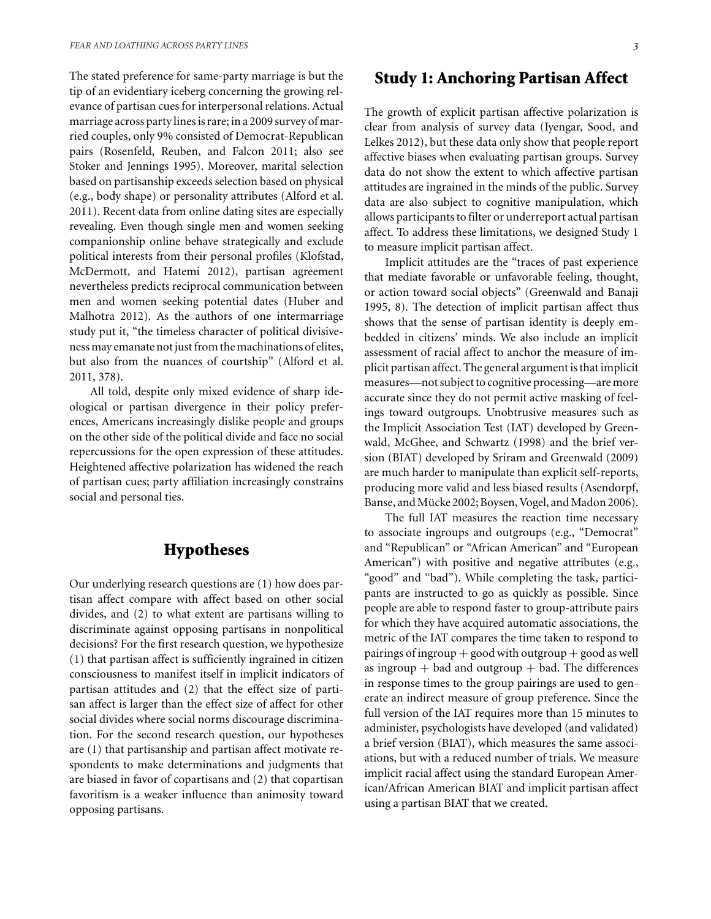The stated preference for same-party marriage is but the tip of an evidentiary iceberg concerning the growing relevance of partisan cues for interpersonal relations. Actual marriage across party lines is rare; in a 2009 survey of married couples, only 9% consisted of Democrat-Republican pairs (Rosenfeld, Reuben, and Falcon 2011; also see Stoker and Jennings 1995). Moreover, marital selection based on partisanship exceeds selection based on physical (e.g., body shape) or personality attributes (Alford et al. 2011). Recent data from online dating sites are especially revealing. Even though single men and women seeking companionship online behave strategically and exclude political interests from their personal profiles (Klofstad, McDermott, and Hatemi 2012), partisan agreement nevertheless predicts reciprocal communication between men and women seeking potential dates (Huber and Malhotra 2012). As the authors of one intermarriage study put it, "the timeless character of political divisiveness may emanate not just from the machinations of elites, but also from the nuances of courtship" (Alford et al. 2011, 378).

All told, despite only mixed evidence of sharp ideological or partisan divergence in their policy preferences, Americans increasingly dislike people and groups on the other side of the political divide and face no social repercussions for the open expression of these attitudes. Heightened affective polarization has widened the reach of partisan cues; party affiliation increasingly constrains social and personal ties.

# **Hypotheses**

Our underlying research questions are (1) how does partisan affect compare with affect based on other social divides, and (2) to what extent are partisans willing to discriminate against opposing partisans in nonpolitical decisions? For the first research question, we hypothesize (1) that partisan affect is sufficiently ingrained in citizen consciousness to manifest itself in implicit indicators of partisan attitudes and (2) that the effect size of partisan affect is larger than the effect size of affect for other social divides where social norms discourage discrimination. For the second research question, our hypotheses are (1) that partisanship and partisan affect motivate respondents to make determinations and judgments that are biased in favor of copartisans and (2) that copartisan favoritism is a weaker influence than animosity toward opposing partisans.

## **Study 1: Anchoring Partisan Affect**

The growth of explicit partisan affective polarization is clear from analysis of survey data (Iyengar, Sood, and Lelkes 2012), but these data only show that people report affective biases when evaluating partisan groups. Survey data do not show the extent to which affective partisan attitudes are ingrained in the minds of the public. Survey data are also subject to cognitive manipulation, which allows participants to filter or underreport actual partisan affect. To address these limitations, we designed Study 1 to measure implicit partisan affect.

Implicit attitudes are the "traces of past experience that mediate favorable or unfavorable feeling, thought, or action toward social objects" (Greenwald and Banaji 1995, 8). The detection of implicit partisan affect thus shows that the sense of partisan identity is deeply embedded in citizens' minds. We also include an implicit assessment of racial affect to anchor the measure of implicit partisan affect. The general argument is that implicit measures—not subject to cognitive processing—are more accurate since they do not permit active masking of feelings toward outgroups. Unobtrusive measures such as the Implicit Association Test (IAT) developed by Greenwald, McGhee, and Schwartz (1998) and the brief version (BIAT) developed by Sriram and Greenwald (2009) are much harder to manipulate than explicit self-reports, producing more valid and less biased results (Asendorpf, Banse, and Mücke 2002; Boysen, Vogel, and Madon 2006).

The full IAT measures the reaction time necessary to associate ingroups and outgroups (e.g., "Democrat" and "Republican" or "African American" and "European American") with positive and negative attributes (e.g., "good" and "bad"). While completing the task, participants are instructed to go as quickly as possible. Since people are able to respond faster to group-attribute pairs for which they have acquired automatic associations, the metric of the IAT compares the time taken to respond to pairings of ingroup  $+$  good with outgroup  $+$  good as well as ingroup  $+$  bad and outgroup  $+$  bad. The differences in response times to the group pairings are used to generate an indirect measure of group preference. Since the full version of the IAT requires more than 15 minutes to administer, psychologists have developed (and validated) a brief version (BIAT), which measures the same associations, but with a reduced number of trials. We measure implicit racial affect using the standard European American/African American BIAT and implicit partisan affect using a partisan BIAT that we created.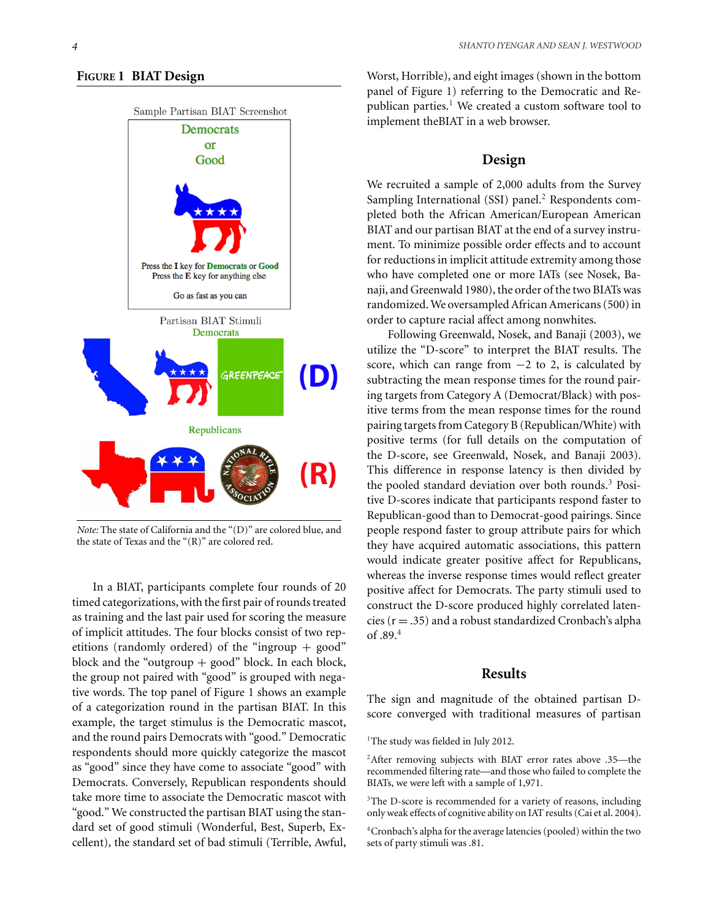#### **FIGURE 1 BIAT Design**



*Note:* The state of California and the "(D)" are colored blue, and the state of Texas and the "(R)" are colored red.

In a BIAT, participants complete four rounds of 20 timed categorizations, with the first pair of rounds treated as training and the last pair used for scoring the measure of implicit attitudes. The four blocks consist of two repetitions (randomly ordered) of the "ingroup  $+$  good" block and the "outgroup  $+$  good" block. In each block, the group not paired with "good" is grouped with negative words. The top panel of Figure 1 shows an example of a categorization round in the partisan BIAT. In this example, the target stimulus is the Democratic mascot, and the round pairs Democrats with "good." Democratic respondents should more quickly categorize the mascot as "good" since they have come to associate "good" with Democrats. Conversely, Republican respondents should take more time to associate the Democratic mascot with "good." We constructed the partisan BIAT using the standard set of good stimuli (Wonderful, Best, Superb, Excellent), the standard set of bad stimuli (Terrible, Awful,

Worst, Horrible), and eight images (shown in the bottom panel of Figure 1) referring to the Democratic and Republican parties.<sup>1</sup> We created a custom software tool to implement theBIAT in a web browser.

#### **Design**

We recruited a sample of 2,000 adults from the Survey Sampling International (SSI) panel.<sup>2</sup> Respondents completed both the African American/European American BIAT and our partisan BIAT at the end of a survey instrument. To minimize possible order effects and to account for reductions in implicit attitude extremity among those who have completed one or more IATs (see Nosek, Banaji, and Greenwald 1980), the order of the two BIATs was randomized.We oversampled African Americans (500) in order to capture racial affect among nonwhites.

Following Greenwald, Nosek, and Banaji (2003), we utilize the "D-score" to interpret the BIAT results. The score, which can range from  $-2$  to 2, is calculated by subtracting the mean response times for the round pairing targets from Category A (Democrat/Black) with positive terms from the mean response times for the round pairing targets from Category B (Republican/White) with positive terms (for full details on the computation of the D-score, see Greenwald, Nosek, and Banaji 2003). This difference in response latency is then divided by the pooled standard deviation over both rounds.<sup>3</sup> Positive D-scores indicate that participants respond faster to Republican-good than to Democrat-good pairings. Since people respond faster to group attribute pairs for which they have acquired automatic associations, this pattern would indicate greater positive affect for Republicans, whereas the inverse response times would reflect greater positive affect for Democrats. The party stimuli used to construct the D-score produced highly correlated latencies ( $r = .35$ ) and a robust standardized Cronbach's alpha of .89.<sup>4</sup>

#### **Results**

The sign and magnitude of the obtained partisan Dscore converged with traditional measures of partisan

<sup>1</sup>The study was fielded in July 2012.

2After removing subjects with BIAT error rates above .35—the recommended filtering rate—and those who failed to complete the BIATs, we were left with a sample of 1,971.

<sup>3</sup>The D-score is recommended for a variety of reasons, including only weak effects of cognitive ability on IAT results (Cai et al. 2004).

<sup>4</sup>Cronbach's alpha for the average latencies (pooled) within the two sets of party stimuli was .81.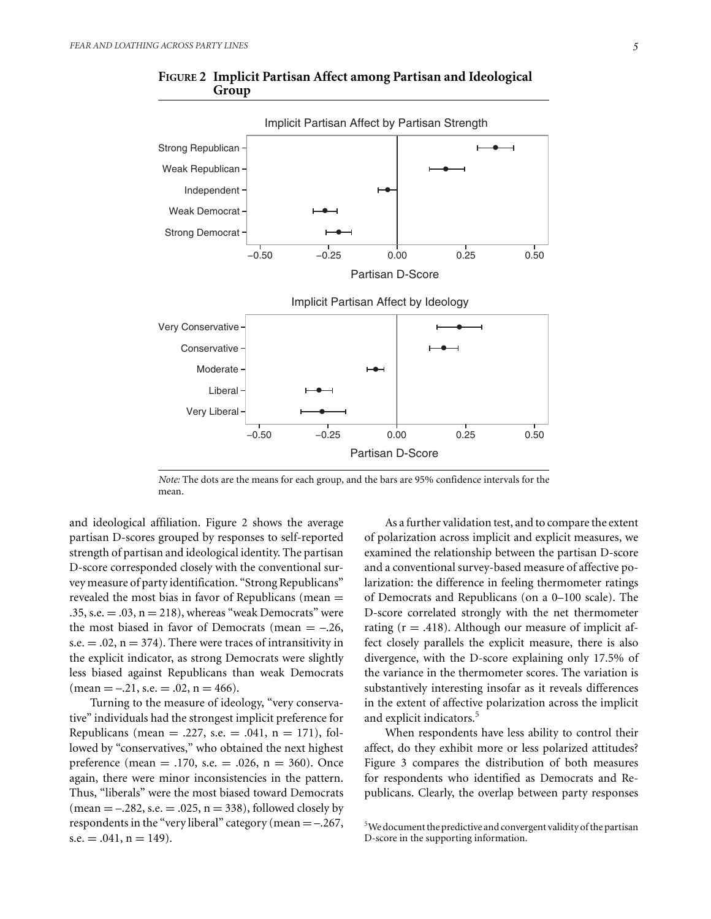

## **FIGURE 2 Implicit Partisan Affect among Partisan and Ideological Group**

*Note:* The dots are the means for each group, and the bars are 95% confidence intervals for the mean.

and ideological affiliation. Figure 2 shows the average partisan D-scores grouped by responses to self-reported strength of partisan and ideological identity. The partisan D-score corresponded closely with the conventional survey measure of party identification. "Strong Republicans" revealed the most bias in favor of Republicans (mean = .35, s.e.  $= .03$ ,  $n = 218$ ), whereas "weak Democrats" were the most biased in favor of Democrats (mean  $=$  -.26, s.e.  $= .02$ ,  $n = 374$ ). There were traces of intransitivity in the explicit indicator, as strong Democrats were slightly less biased against Republicans than weak Democrats  $(\text{mean} = -.21, \text{s.e.} = .02, \text{n} = 466).$ 

Turning to the measure of ideology, "very conservative" individuals had the strongest implicit preference for Republicans (mean = .227, s.e. = .041,  $n = 171$ ), followed by "conservatives," who obtained the next highest preference (mean = .170, s.e. = .026,  $n = 360$ ). Once again, there were minor inconsistencies in the pattern. Thus, "liberals" were the most biased toward Democrats  $(\text{mean} = -.282, \text{s.e.} = .025, n = 338)$ , followed closely by respondents in the "very liberal" category (mean = –.267,  $s.e. = .041, n = 149.$ 

As a further validation test, and to compare the extent of polarization across implicit and explicit measures, we examined the relationship between the partisan D-score and a conventional survey-based measure of affective polarization: the difference in feeling thermometer ratings of Democrats and Republicans (on a 0–100 scale). The D-score correlated strongly with the net thermometer rating  $(r = .418)$ . Although our measure of implicit affect closely parallels the explicit measure, there is also divergence, with the D-score explaining only 17.5% of the variance in the thermometer scores. The variation is substantively interesting insofar as it reveals differences in the extent of affective polarization across the implicit and explicit indicators.<sup>5</sup>

When respondents have less ability to control their affect, do they exhibit more or less polarized attitudes? Figure 3 compares the distribution of both measures for respondents who identified as Democrats and Republicans. Clearly, the overlap between party responses

 $5$ We document the predictive and convergent validity of the partisan D-score in the supporting information.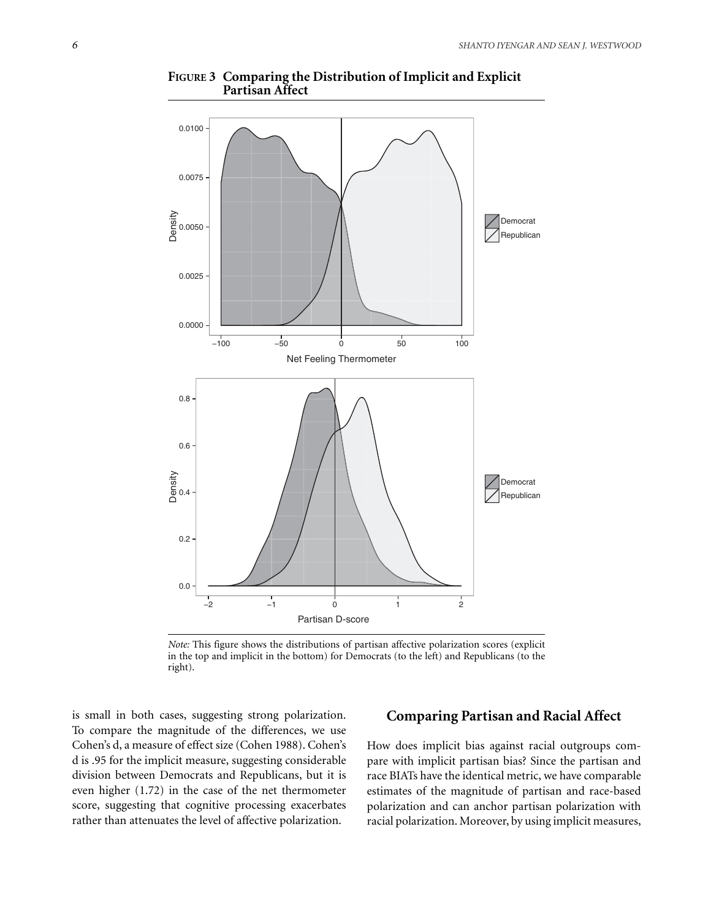

**FIGURE 3 Comparing the Distribution of Implicit and Explicit Partisan Affect**

*Note:* This figure shows the distributions of partisan affective polarization scores (explicit in the top and implicit in the bottom) for Democrats (to the left) and Republicans (to the right).

is small in both cases, suggesting strong polarization. To compare the magnitude of the differences, we use Cohen's d, a measure of effect size (Cohen 1988). Cohen's d is .95 for the implicit measure, suggesting considerable division between Democrats and Republicans, but it is even higher (1.72) in the case of the net thermometer score, suggesting that cognitive processing exacerbates rather than attenuates the level of affective polarization.

## **Comparing Partisan and Racial Affect**

How does implicit bias against racial outgroups compare with implicit partisan bias? Since the partisan and race BIATs have the identical metric, we have comparable estimates of the magnitude of partisan and race-based polarization and can anchor partisan polarization with racial polarization. Moreover, by using implicit measures,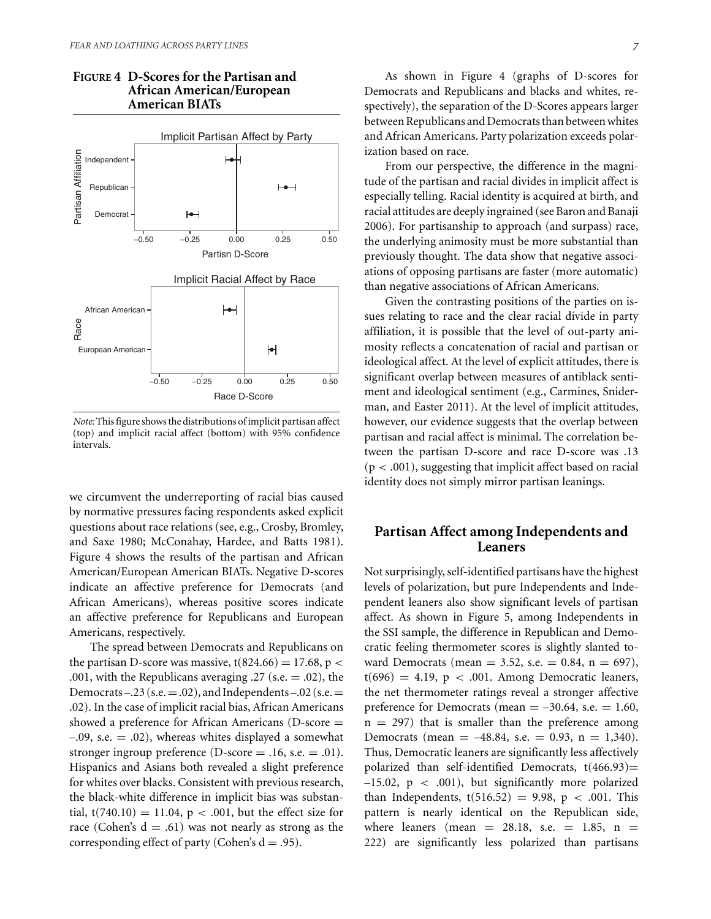

#### **FIGURE 4 D-Scores for the Partisan and African American/European American BIATs**

*Note:*Thisfigure shows the distributions of implicit partisan affect (top) and implicit racial affect (bottom) with 95% confidence intervals.

we circumvent the underreporting of racial bias caused by normative pressures facing respondents asked explicit questions about race relations (see, e.g., Crosby, Bromley, and Saxe 1980; McConahay, Hardee, and Batts 1981). Figure 4 shows the results of the partisan and African American/European American BIATs. Negative D-scores indicate an affective preference for Democrats (and African Americans), whereas positive scores indicate an affective preference for Republicans and European Americans, respectively.

The spread between Democrats and Republicans on the partisan D-score was massive, t(824.66) = 17.68, p *<* .001, with the Republicans averaging  $.27$  (s.e.  $= .02$ ), the Democrats –.23 (s.e.  $=$  .02), and Independents –.02 (s.e.  $=$ .02). In the case of implicit racial bias, African Americans showed a preference for African Americans (D-score =  $-0.09$ , s.e.  $= 0.02$ ), whereas whites displayed a somewhat stronger ingroup preference (D-score  $= .16$ , s.e.  $= .01$ ). Hispanics and Asians both revealed a slight preference for whites over blacks. Consistent with previous research, the black-white difference in implicit bias was substantial,  $t(740.10) = 11.04$ ,  $p < .001$ , but the effect size for race (Cohen's  $d = .61$ ) was not nearly as strong as the corresponding effect of party (Cohen's  $d = .95$ ).

As shown in Figure 4 (graphs of D-scores for Democrats and Republicans and blacks and whites, respectively), the separation of the D-Scores appears larger between Republicans and Democrats than between whites and African Americans. Party polarization exceeds polarization based on race.

From our perspective, the difference in the magnitude of the partisan and racial divides in implicit affect is especially telling. Racial identity is acquired at birth, and racial attitudes are deeply ingrained (see Baron and Banaji 2006). For partisanship to approach (and surpass) race, the underlying animosity must be more substantial than previously thought. The data show that negative associations of opposing partisans are faster (more automatic) than negative associations of African Americans.

Given the contrasting positions of the parties on issues relating to race and the clear racial divide in party affiliation, it is possible that the level of out-party animosity reflects a concatenation of racial and partisan or ideological affect. At the level of explicit attitudes, there is significant overlap between measures of antiblack sentiment and ideological sentiment (e.g., Carmines, Sniderman, and Easter 2011). At the level of implicit attitudes, however, our evidence suggests that the overlap between partisan and racial affect is minimal. The correlation between the partisan D-score and race D-score was .13 (p *<* .001), suggesting that implicit affect based on racial identity does not simply mirror partisan leanings.

## **Partisan Affect among Independents and Leaners**

Not surprisingly, self-identified partisans have the highest levels of polarization, but pure Independents and Independent leaners also show significant levels of partisan affect. As shown in Figure 5, among Independents in the SSI sample, the difference in Republican and Democratic feeling thermometer scores is slightly slanted toward Democrats (mean = 3.52, s.e. =  $0.84$ , n = 697),  $t(696) = 4.19$ ,  $p < .001$ . Among Democratic leaners, the net thermometer ratings reveal a stronger affective preference for Democrats (mean  $=$  -30.64, s.e.  $=$  1.60,  $n = 297$ ) that is smaller than the preference among Democrats (mean  $=$  -48.84, s.e.  $=$  0.93, n  $=$  1,340). Thus, Democratic leaners are significantly less affectively polarized than self-identified Democrats,  $t(466.93)$ = –15.02, p *<* .001), but significantly more polarized than Independents,  $t(516.52) = 9.98$ ,  $p < .001$ . This pattern is nearly identical on the Republican side, where leaners (mean  $= 28.18$ , s.e.  $= 1.85$ , n  $=$ 222) are significantly less polarized than partisans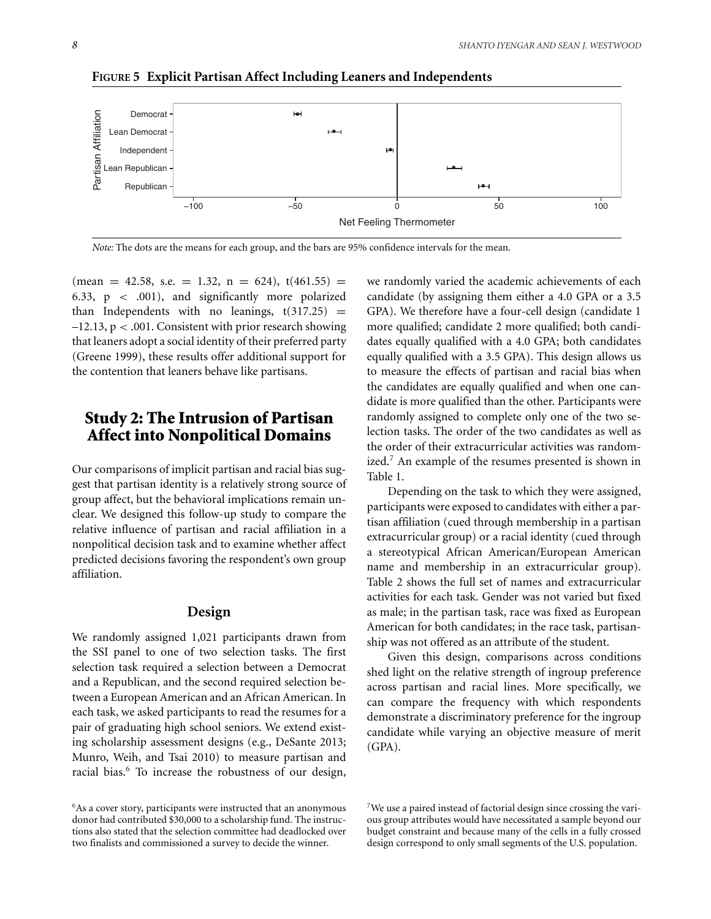

#### **FIGURE 5 Explicit Partisan Affect Including Leaners and Independents**

*Note:* The dots are the means for each group, and the bars are 95% confidence intervals for the mean.

 $(\text{mean} = 42.58, \text{ s.e.} = 1.32, \text{ n } = 624), \text{ t}(461.55) =$ 6.33, p *<* .001), and significantly more polarized than Independents with no leanings,  $t(317.25)$  = –12.13, p *<* .001. Consistent with prior research showing that leaners adopt a social identity of their preferred party (Greene 1999), these results offer additional support for the contention that leaners behave like partisans.

# **Study 2: The Intrusion of Partisan Affect into Nonpolitical Domains**

Our comparisons of implicit partisan and racial bias suggest that partisan identity is a relatively strong source of group affect, but the behavioral implications remain unclear. We designed this follow-up study to compare the relative influence of partisan and racial affiliation in a nonpolitical decision task and to examine whether affect predicted decisions favoring the respondent's own group affiliation.

## **Design**

We randomly assigned 1,021 participants drawn from the SSI panel to one of two selection tasks. The first selection task required a selection between a Democrat and a Republican, and the second required selection between a European American and an African American. In each task, we asked participants to read the resumes for a pair of graduating high school seniors. We extend existing scholarship assessment designs (e.g., DeSante 2013; Munro, Weih, and Tsai 2010) to measure partisan and racial bias.<sup>6</sup> To increase the robustness of our design,

we randomly varied the academic achievements of each candidate (by assigning them either a 4.0 GPA or a 3.5 GPA). We therefore have a four-cell design (candidate 1 more qualified; candidate 2 more qualified; both candidates equally qualified with a 4.0 GPA; both candidates equally qualified with a 3.5 GPA). This design allows us to measure the effects of partisan and racial bias when the candidates are equally qualified and when one candidate is more qualified than the other. Participants were randomly assigned to complete only one of the two selection tasks. The order of the two candidates as well as the order of their extracurricular activities was randomized.<sup>7</sup> An example of the resumes presented is shown in Table 1.

Depending on the task to which they were assigned, participants were exposed to candidates with either a partisan affiliation (cued through membership in a partisan extracurricular group) or a racial identity (cued through a stereotypical African American/European American name and membership in an extracurricular group). Table 2 shows the full set of names and extracurricular activities for each task. Gender was not varied but fixed as male; in the partisan task, race was fixed as European American for both candidates; in the race task, partisanship was not offered as an attribute of the student.

Given this design, comparisons across conditions shed light on the relative strength of ingroup preference across partisan and racial lines. More specifically, we can compare the frequency with which respondents demonstrate a discriminatory preference for the ingroup candidate while varying an objective measure of merit (GPA).

<sup>&</sup>lt;sup>6</sup>As a cover story, participants were instructed that an anonymous donor had contributed \$30,000 to a scholarship fund. The instructions also stated that the selection committee had deadlocked over two finalists and commissioned a survey to decide the winner.

<sup>7</sup>We use a paired instead of factorial design since crossing the various group attributes would have necessitated a sample beyond our budget constraint and because many of the cells in a fully crossed design correspond to only small segments of the U.S. population.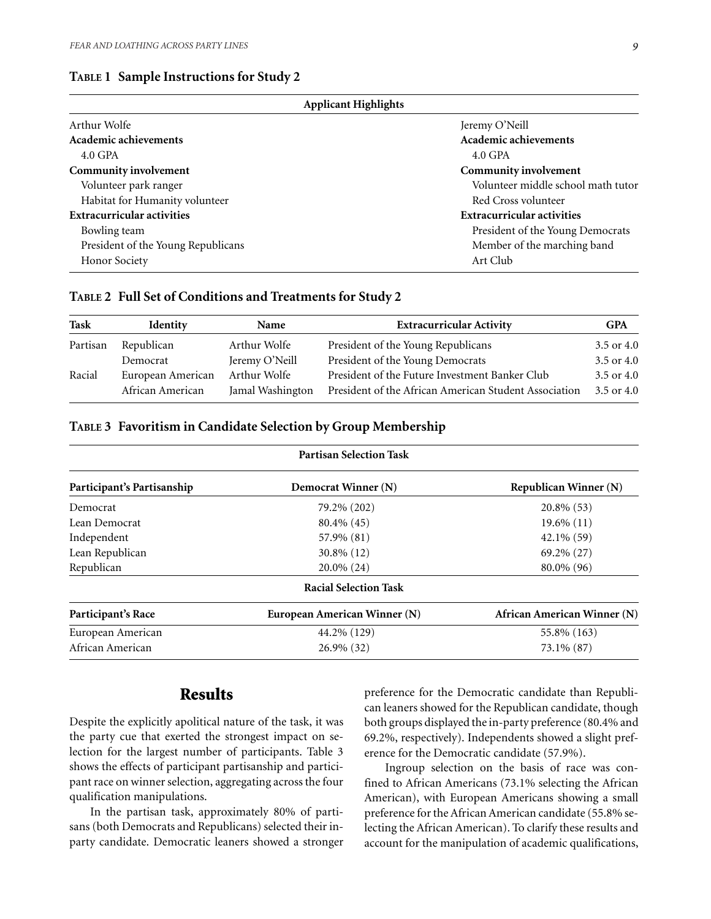| <b>Applicant Highlights</b>        |  |  |  |  |
|------------------------------------|--|--|--|--|
| Jeremy O'Neill                     |  |  |  |  |
| Academic achievements              |  |  |  |  |
| $4.0$ GPA                          |  |  |  |  |
| <b>Community involvement</b>       |  |  |  |  |
| Volunteer middle school math tutor |  |  |  |  |
| Red Cross volunteer                |  |  |  |  |
| <b>Extracurricular activities</b>  |  |  |  |  |
| President of the Young Democrats   |  |  |  |  |
| Member of the marching band        |  |  |  |  |
| Art Club                           |  |  |  |  |
|                                    |  |  |  |  |

#### **TABLE 1 Sample Instructions for Study 2**

#### **TABLE 2 Full Set of Conditions and Treatments for Study 2**

| <b>Task</b> | Identity          | Name             | <b>Extracurricular Activity</b>                       | <b>GPA</b> |
|-------------|-------------------|------------------|-------------------------------------------------------|------------|
| Partisan    | Republican        | Arthur Wolfe     | President of the Young Republicans                    | 3.5 or 4.0 |
|             | Democrat          | Jeremy O'Neill   | President of the Young Democrats                      | 3.5 or 4.0 |
| Racial      | European American | Arthur Wolfe     | President of the Future Investment Banker Club        | 3.5 or 4.0 |
|             | African American  | Jamal Washington | President of the African American Student Association | 3.5 or 4.0 |

#### **TABLE 3 Favoritism in Candidate Selection by Group Membership**

| <b>Partisan Selection Task</b> |                              |                             |  |  |  |  |
|--------------------------------|------------------------------|-----------------------------|--|--|--|--|
| Participant's Partisanship     | Democrat Winner (N)          | Republican Winner (N)       |  |  |  |  |
| Democrat                       | 79.2% (202)                  | $20.8\%$ (53)               |  |  |  |  |
| Lean Democrat                  | $80.4\%$ (45)                | $19.6\%$ (11)               |  |  |  |  |
| Independent                    | 57.9% (81)                   | $42.1\%$ (59)               |  |  |  |  |
| Lean Republican                | $30.8\%$ (12)                | $69.2\%$ (27)               |  |  |  |  |
| Republican                     | $20.0\%$ (24)                | $80.0\%$ (96)               |  |  |  |  |
|                                | <b>Racial Selection Task</b> |                             |  |  |  |  |
| Participant's Race             | European American Winner (N) | African American Winner (N) |  |  |  |  |
| European American              | 44.2% (129)                  | 55.8% (163)                 |  |  |  |  |
| African American               | 26.9% (32)                   | 73.1% (87)                  |  |  |  |  |

# **Results**

Despite the explicitly apolitical nature of the task, it was the party cue that exerted the strongest impact on selection for the largest number of participants. Table 3 shows the effects of participant partisanship and participant race on winner selection, aggregating across the four qualification manipulations.

In the partisan task, approximately 80% of partisans (both Democrats and Republicans) selected their inparty candidate. Democratic leaners showed a stronger preference for the Democratic candidate than Republican leaners showed for the Republican candidate, though both groups displayed the in-party preference (80.4% and 69.2%, respectively). Independents showed a slight preference for the Democratic candidate (57.9%).

Ingroup selection on the basis of race was confined to African Americans (73.1% selecting the African American), with European Americans showing a small preference for the African American candidate (55.8% selecting the African American). To clarify these results and account for the manipulation of academic qualifications,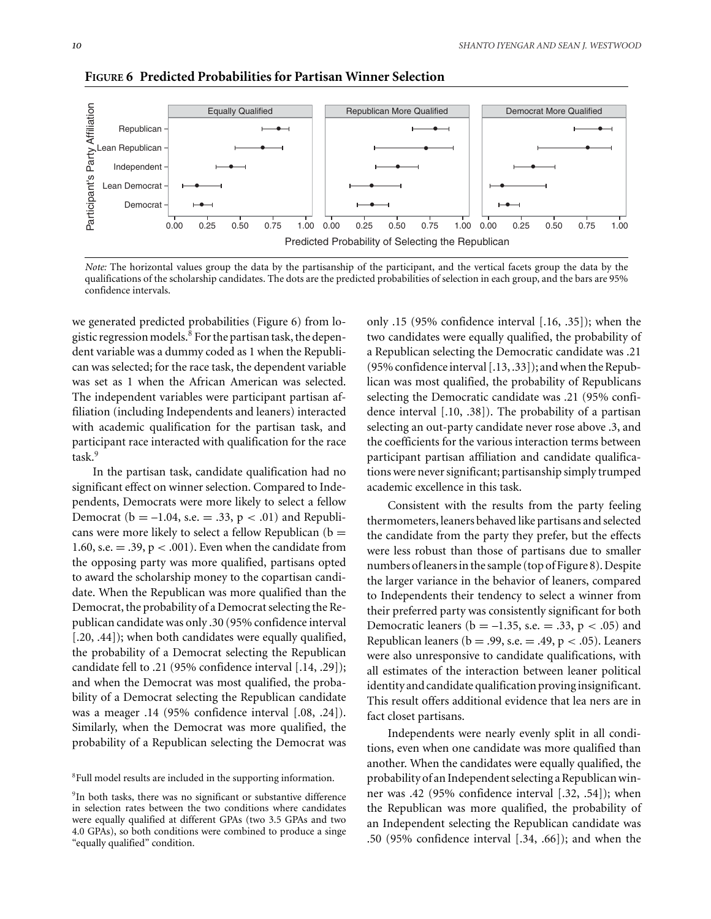

#### **FIGURE 6 Predicted Probabilities for Partisan Winner Selection**

*Note:* The horizontal values group the data by the partisanship of the participant, and the vertical facets group the data by the qualifications of the scholarship candidates. The dots are the predicted probabilities of selection in each group, and the bars are 95% confidence intervals.

we generated predicted probabilities (Figure 6) from logistic regression models.<sup>8</sup> For the partisan task, the dependent variable was a dummy coded as 1 when the Republican was selected; for the race task, the dependent variable was set as 1 when the African American was selected. The independent variables were participant partisan affiliation (including Independents and leaners) interacted with academic qualification for the partisan task, and participant race interacted with qualification for the race task.9

In the partisan task, candidate qualification had no significant effect on winner selection. Compared to Independents, Democrats were more likely to select a fellow Democrat ( $b = -1.04$ , s.e. = .33,  $p < .01$ ) and Republicans were more likely to select a fellow Republican ( $b =$ 1.60, s.e. = .39, p *<* .001). Even when the candidate from the opposing party was more qualified, partisans opted to award the scholarship money to the copartisan candidate. When the Republican was more qualified than the Democrat, the probability of a Democrat selecting the Republican candidate was only .30 (95% confidence interval [.20, .44]); when both candidates were equally qualified, the probability of a Democrat selecting the Republican candidate fell to .21 (95% confidence interval [.14, .29]); and when the Democrat was most qualified, the probability of a Democrat selecting the Republican candidate was a meager .14 (95% confidence interval [.08, .24]). Similarly, when the Democrat was more qualified, the probability of a Republican selecting the Democrat was

only .15 (95% confidence interval [.16, .35]); when the two candidates were equally qualified, the probability of a Republican selecting the Democratic candidate was .21 (95% confidence interval [.13, .33]); and when the Republican was most qualified, the probability of Republicans selecting the Democratic candidate was .21 (95% confidence interval [.10, .38]). The probability of a partisan selecting an out-party candidate never rose above .3, and the coefficients for the various interaction terms between participant partisan affiliation and candidate qualifications were never significant; partisanship simply trumped academic excellence in this task.

Consistent with the results from the party feeling thermometers, leaners behaved like partisans and selected the candidate from the party they prefer, but the effects were less robust than those of partisans due to smaller numbers of leaners in the sample (top of Figure 8). Despite the larger variance in the behavior of leaners, compared to Independents their tendency to select a winner from their preferred party was consistently significant for both Democratic leaners (b = –1.35, s.e. = .33, p *<* .05) and Republican leaners (b = .99, s.e. = .49, p *<* .05). Leaners were also unresponsive to candidate qualifications, with all estimates of the interaction between leaner political identity and candidate qualification proving insignificant. This result offers additional evidence that lea ners are in fact closet partisans.

Independents were nearly evenly split in all conditions, even when one candidate was more qualified than another. When the candidates were equally qualified, the probability of an Independent selecting a Republican winner was .42 (95% confidence interval [.32, .54]); when the Republican was more qualified, the probability of an Independent selecting the Republican candidate was .50 (95% confidence interval [.34, .66]); and when the

<sup>8</sup>Full model results are included in the supporting information.

<sup>&</sup>lt;sup>9</sup>In both tasks, there was no significant or substantive difference in selection rates between the two conditions where candidates were equally qualified at different GPAs (two 3.5 GPAs and two 4.0 GPAs), so both conditions were combined to produce a singe "equally qualified" condition.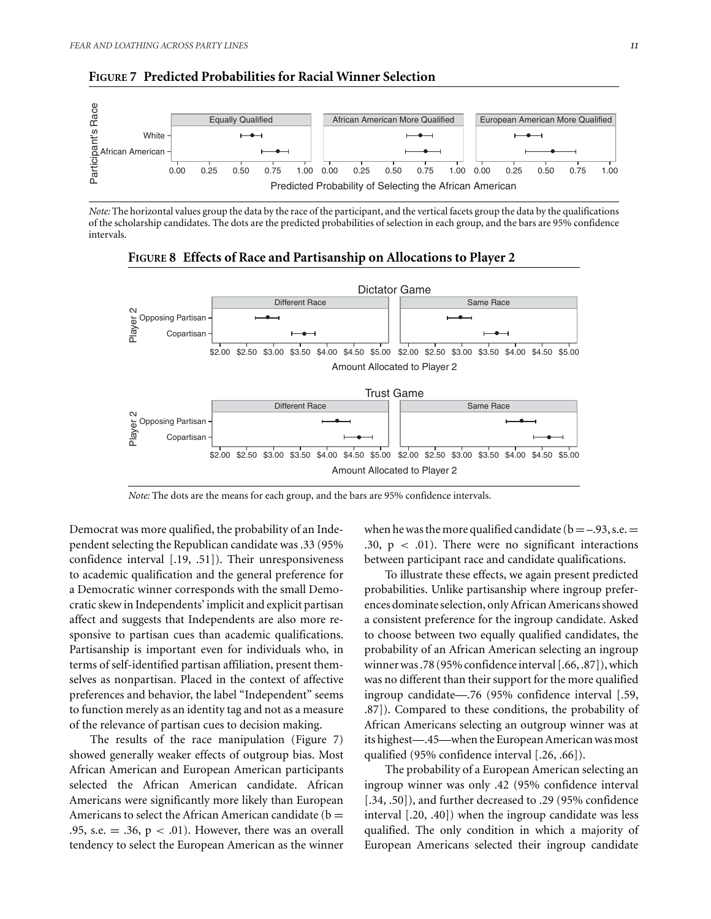

#### **FIGURE 7 Predicted Probabilities for Racial Winner Selection**

*Note:* The horizontal values group the data by the race of the participant, and the vertical facets group the data by the qualifications of the scholarship candidates. The dots are the predicted probabilities of selection in each group, and the bars are 95% confidence intervals.





*Note:* The dots are the means for each group, and the bars are 95% confidence intervals.

Democrat was more qualified, the probability of an Independent selecting the Republican candidate was .33 (95% confidence interval [.19, .51]). Their unresponsiveness to academic qualification and the general preference for a Democratic winner corresponds with the small Democratic skew in Independents' implicit and explicit partisan affect and suggests that Independents are also more responsive to partisan cues than academic qualifications. Partisanship is important even for individuals who, in terms of self-identified partisan affiliation, present themselves as nonpartisan. Placed in the context of affective preferences and behavior, the label "Independent" seems to function merely as an identity tag and not as a measure of the relevance of partisan cues to decision making.

The results of the race manipulation (Figure 7) showed generally weaker effects of outgroup bias. Most African American and European American participants selected the African American candidate. African Americans were significantly more likely than European Americans to select the African American candidate ( $b =$ .95, s.e. = .36, p *<* .01). However, there was an overall tendency to select the European American as the winner when he was the more qualified candidate ( $b=-.93$ , s.e.  $=$ .30, p *<* .01). There were no significant interactions between participant race and candidate qualifications.

To illustrate these effects, we again present predicted probabilities. Unlike partisanship where ingroup preferences dominate selection, only African Americans showed a consistent preference for the ingroup candidate. Asked to choose between two equally qualified candidates, the probability of an African American selecting an ingroup winner was .78 (95% confidence interval [.66, .87]), which was no different than their support for the more qualified ingroup candidate—.76 (95% confidence interval [.59, .87]). Compared to these conditions, the probability of African Americans selecting an outgroup winner was at its highest—.45—when the European American was most qualified (95% confidence interval [.26, .66]).

The probability of a European American selecting an ingroup winner was only .42 (95% confidence interval [.34, .50]), and further decreased to .29 (95% confidence interval [.20, .40]) when the ingroup candidate was less qualified. The only condition in which a majority of European Americans selected their ingroup candidate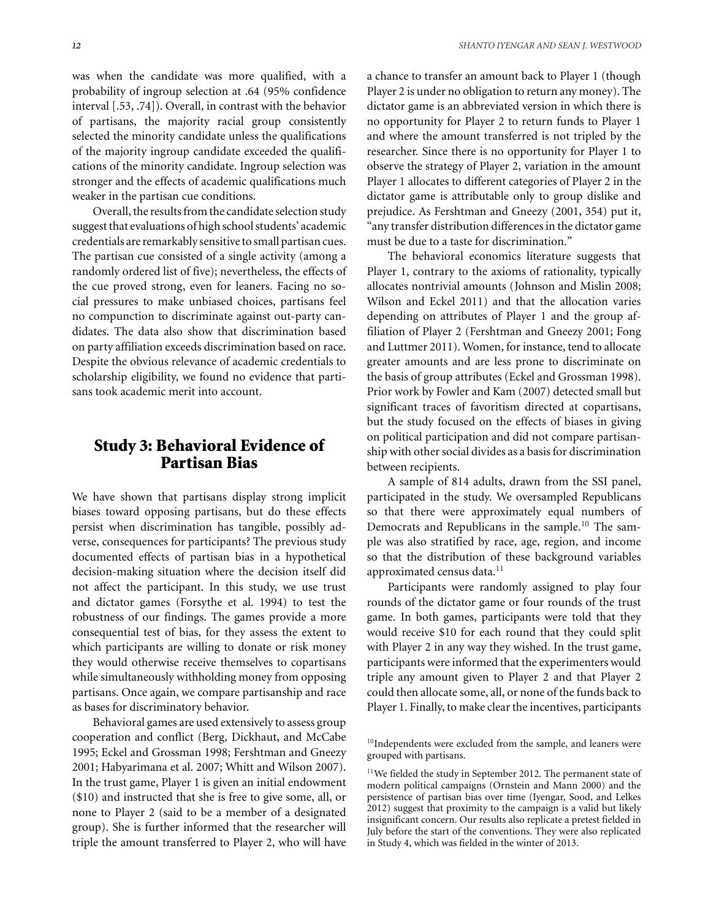was when the candidate was more qualified, with a probability of ingroup selection at .64 (95% confidence interval [.53, .74]). Overall, in contrast with the behavior of partisans, the majority racial group consistently selected the minority candidate unless the qualifications of the majority ingroup candidate exceeded the qualifications of the minority candidate. Ingroup selection was stronger and the effects of academic qualifications much weaker in the partisan cue conditions.

Overall, the results from the candidate selection study suggest that evaluations of high school students' academic credentials are remarkably sensitive to small partisan cues. The partisan cue consisted of a single activity (among a randomly ordered list of five); nevertheless, the effects of the cue proved strong, even for leaners. Facing no social pressures to make unbiased choices, partisans feel no compunction to discriminate against out-party candidates. The data also show that discrimination based on party affiliation exceeds discrimination based on race. Despite the obvious relevance of academic credentials to scholarship eligibility, we found no evidence that partisans took academic merit into account.

# **Study 3: Behavioral Evidence of Partisan Bias**

We have shown that partisans display strong implicit biases toward opposing partisans, but do these effects persist when discrimination has tangible, possibly adverse, consequences for participants? The previous study documented effects of partisan bias in a hypothetical decision-making situation where the decision itself did not affect the participant. In this study, we use trust and dictator games (Forsythe et al. 1994) to test the robustness of our findings. The games provide a more consequential test of bias, for they assess the extent to which participants are willing to donate or risk money they would otherwise receive themselves to copartisans while simultaneously withholding money from opposing partisans. Once again, we compare partisanship and race as bases for discriminatory behavior.

Behavioral games are used extensively to assess group cooperation and conflict (Berg, Dickhaut, and McCabe 1995; Eckel and Grossman 1998; Fershtman and Gneezy 2001; Habyarimana et al. 2007; Whitt and Wilson 2007). In the trust game, Player 1 is given an initial endowment (\$10) and instructed that she is free to give some, all, or none to Player 2 (said to be a member of a designated group). She is further informed that the researcher will triple the amount transferred to Player 2, who will have

a chance to transfer an amount back to Player 1 (though Player 2 is under no obligation to return any money). The dictator game is an abbreviated version in which there is no opportunity for Player 2 to return funds to Player 1 and where the amount transferred is not tripled by the researcher. Since there is no opportunity for Player 1 to observe the strategy of Player 2, variation in the amount Player 1 allocates to different categories of Player 2 in the dictator game is attributable only to group dislike and prejudice. As Fershtman and Gneezy (2001, 354) put it, "any transfer distribution differences in the dictator game must be due to a taste for discrimination."

The behavioral economics literature suggests that Player 1, contrary to the axioms of rationality, typically allocates nontrivial amounts (Johnson and Mislin 2008; Wilson and Eckel 2011) and that the allocation varies depending on attributes of Player 1 and the group affiliation of Player 2 (Fershtman and Gneezy 2001; Fong and Luttmer 2011). Women, for instance, tend to allocate greater amounts and are less prone to discriminate on the basis of group attributes (Eckel and Grossman 1998). Prior work by Fowler and Kam (2007) detected small but significant traces of favoritism directed at copartisans, but the study focused on the effects of biases in giving on political participation and did not compare partisanship with other social divides as a basis for discrimination between recipients.

A sample of 814 adults, drawn from the SSI panel, participated in the study. We oversampled Republicans so that there were approximately equal numbers of Democrats and Republicans in the sample.<sup>10</sup> The sample was also stratified by race, age, region, and income so that the distribution of these background variables approximated census data.<sup>11</sup>

Participants were randomly assigned to play four rounds of the dictator game or four rounds of the trust game. In both games, participants were told that they would receive \$10 for each round that they could split with Player 2 in any way they wished. In the trust game, participants were informed that the experimenters would triple any amount given to Player 2 and that Player 2 could then allocate some, all, or none of the funds back to Player 1. Finally, to make clear the incentives, participants

<sup>&</sup>lt;sup>10</sup>Independents were excluded from the sample, and leaners were grouped with partisans.

<sup>&</sup>lt;sup>11</sup>We fielded the study in September 2012. The permanent state of modern political campaigns (Ornstein and Mann 2000) and the persistence of partisan bias over time (Iyengar, Sood, and Lelkes 2012) suggest that proximity to the campaign is a valid but likely insignificant concern. Our results also replicate a pretest fielded in July before the start of the conventions. They were also replicated in Study 4, which was fielded in the winter of 2013.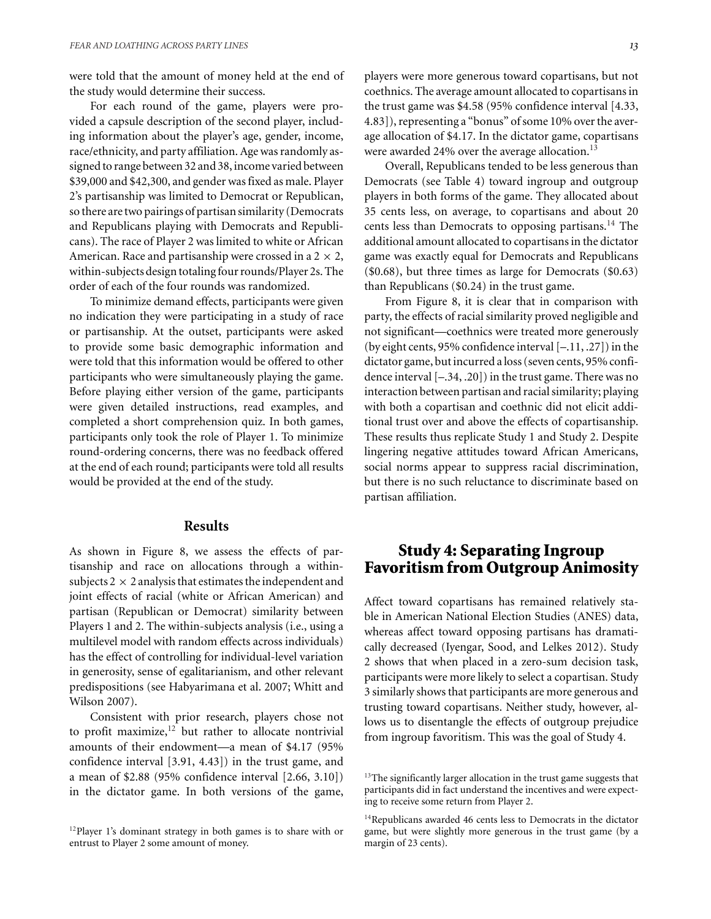were told that the amount of money held at the end of the study would determine their success.

For each round of the game, players were provided a capsule description of the second player, including information about the player's age, gender, income, race/ethnicity, and party affiliation. Age was randomly assigned to range between 32 and 38, income varied between \$39,000 and \$42,300, and gender was fixed as male. Player 2's partisanship was limited to Democrat or Republican, so there are two pairings of partisan similarity (Democrats and Republicans playing with Democrats and Republicans). The race of Player 2 was limited to white or African American. Race and partisanship were crossed in a  $2 \times 2$ , within-subjects design totaling four rounds/Player 2s. The order of each of the four rounds was randomized.

To minimize demand effects, participants were given no indication they were participating in a study of race or partisanship. At the outset, participants were asked to provide some basic demographic information and were told that this information would be offered to other participants who were simultaneously playing the game. Before playing either version of the game, participants were given detailed instructions, read examples, and completed a short comprehension quiz. In both games, participants only took the role of Player 1. To minimize round-ordering concerns, there was no feedback offered at the end of each round; participants were told all results would be provided at the end of the study.

#### **Results**

As shown in Figure 8, we assess the effects of partisanship and race on allocations through a withinsubjects  $2 \times 2$  analysis that estimates the independent and joint effects of racial (white or African American) and partisan (Republican or Democrat) similarity between Players 1 and 2. The within-subjects analysis (i.e., using a multilevel model with random effects across individuals) has the effect of controlling for individual-level variation in generosity, sense of egalitarianism, and other relevant predispositions (see Habyarimana et al. 2007; Whitt and Wilson 2007).

Consistent with prior research, players chose not to profit maximize, $12$  but rather to allocate nontrivial amounts of their endowment—a mean of \$4.17 (95% confidence interval [3.91, 4.43]) in the trust game, and a mean of \$2.88 (95% confidence interval [2.66, 3.10]) in the dictator game. In both versions of the game, players were more generous toward copartisans, but not coethnics. The average amount allocated to copartisans in the trust game was \$4.58 (95% confidence interval [4.33, 4.83]), representing a "bonus" of some 10% over the average allocation of \$4.17. In the dictator game, copartisans were awarded 24% over the average allocation. $^{13}$ 

Overall, Republicans tended to be less generous than Democrats (see Table 4) toward ingroup and outgroup players in both forms of the game. They allocated about 35 cents less, on average, to copartisans and about 20 cents less than Democrats to opposing partisans.<sup>14</sup> The additional amount allocated to copartisans in the dictator game was exactly equal for Democrats and Republicans (\$0.68), but three times as large for Democrats (\$0.63) than Republicans (\$0.24) in the trust game.

From Figure 8, it is clear that in comparison with party, the effects of racial similarity proved negligible and not significant—coethnics were treated more generously (by eight cents, 95% confidence interval [–.11, .27]) in the dictator game, but incurred a loss (seven cents, 95% confidence interval [–.34, .20]) in the trust game. There was no interaction between partisan and racial similarity; playing with both a copartisan and coethnic did not elicit additional trust over and above the effects of copartisanship. These results thus replicate Study 1 and Study 2. Despite lingering negative attitudes toward African Americans, social norms appear to suppress racial discrimination, but there is no such reluctance to discriminate based on partisan affiliation.

# **Study 4: Separating Ingroup Favoritism from Outgroup Animosity**

Affect toward copartisans has remained relatively stable in American National Election Studies (ANES) data, whereas affect toward opposing partisans has dramatically decreased (Iyengar, Sood, and Lelkes 2012). Study 2 shows that when placed in a zero-sum decision task, participants were more likely to select a copartisan. Study 3 similarly shows that participants are more generous and trusting toward copartisans. Neither study, however, allows us to disentangle the effects of outgroup prejudice from ingroup favoritism. This was the goal of Study 4.

<sup>&</sup>lt;sup>12</sup>Player 1's dominant strategy in both games is to share with or entrust to Player 2 some amount of money.

<sup>&</sup>lt;sup>13</sup>The significantly larger allocation in the trust game suggests that participants did in fact understand the incentives and were expecting to receive some return from Player 2.

 $14$ Republicans awarded 46 cents less to Democrats in the dictator game, but were slightly more generous in the trust game (by a margin of 23 cents).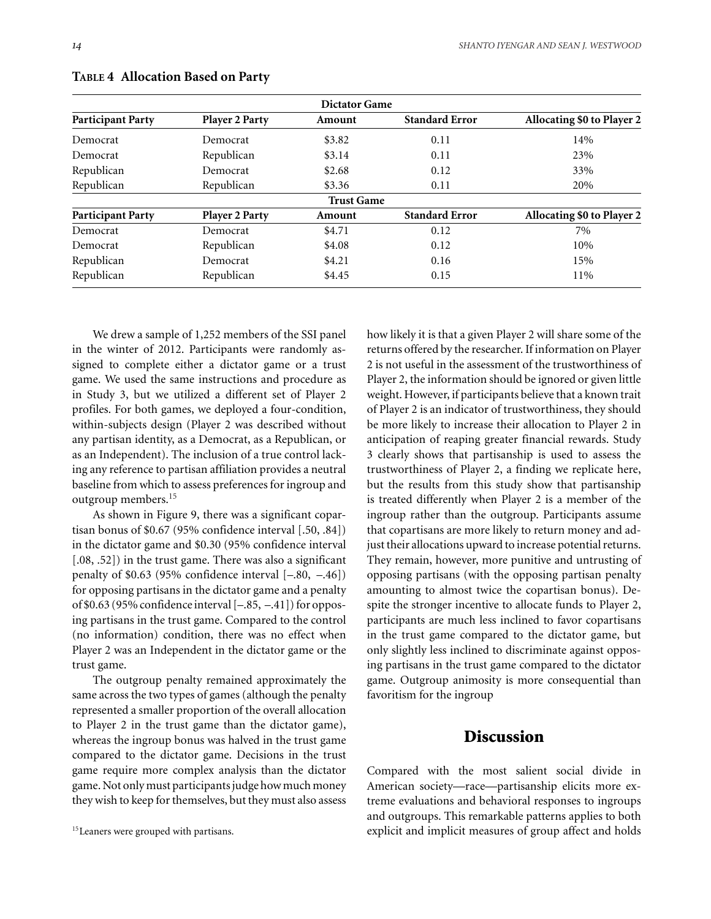| <b>Dictator Game</b>     |                       |                   |                       |                            |  |  |  |
|--------------------------|-----------------------|-------------------|-----------------------|----------------------------|--|--|--|
| <b>Participant Party</b> | <b>Player 2 Party</b> | Amount            | <b>Standard Error</b> | Allocating \$0 to Player 2 |  |  |  |
| Democrat                 | Democrat              | \$3.82            | 0.11                  | 14%                        |  |  |  |
| Democrat                 | Republican            | \$3.14            | 0.11                  | 23%                        |  |  |  |
| Republican               | Democrat              | \$2.68            | 0.12                  | 33%                        |  |  |  |
| Republican               | Republican            | \$3.36            | 0.11                  | 20%                        |  |  |  |
|                          |                       | <b>Trust Game</b> |                       |                            |  |  |  |
| <b>Participant Party</b> | <b>Player 2 Party</b> | Amount            | <b>Standard Error</b> | Allocating \$0 to Player 2 |  |  |  |
| Democrat                 | Democrat              | \$4.71            | 0.12                  | 7%                         |  |  |  |

Democrat Republican \$4.08 0.12 10% Republican Democrat \$4.21 0.16 15% Republican Republican \$4.45 0.15 11%

## **TABLE 4 Allocation Based on Party**

We drew a sample of 1,252 members of the SSI panel in the winter of 2012. Participants were randomly assigned to complete either a dictator game or a trust game. We used the same instructions and procedure as in Study 3, but we utilized a different set of Player 2 profiles. For both games, we deployed a four-condition, within-subjects design (Player 2 was described without any partisan identity, as a Democrat, as a Republican, or as an Independent). The inclusion of a true control lacking any reference to partisan affiliation provides a neutral baseline from which to assess preferences for ingroup and outgroup members.15

As shown in Figure 9, there was a significant copartisan bonus of \$0.67 (95% confidence interval [.50, .84]) in the dictator game and \$0.30 (95% confidence interval [.08, .52]) in the trust game. There was also a significant penalty of  $$0.63$  (95% confidence interval  $[-.80, -0.46]$ ) for opposing partisans in the dictator game and a penalty of \$0.63 (95% confidence interval  $[-.85, -.41]$ ) for opposing partisans in the trust game. Compared to the control (no information) condition, there was no effect when Player 2 was an Independent in the dictator game or the trust game.

The outgroup penalty remained approximately the same across the two types of games (although the penalty represented a smaller proportion of the overall allocation to Player 2 in the trust game than the dictator game), whereas the ingroup bonus was halved in the trust game compared to the dictator game. Decisions in the trust game require more complex analysis than the dictator game. Not only must participants judge how much money they wish to keep for themselves, but they must also assess how likely it is that a given Player 2 will share some of the returns offered by the researcher. If information on Player 2 is not useful in the assessment of the trustworthiness of Player 2, the information should be ignored or given little weight. However, if participants believe that a known trait of Player 2 is an indicator of trustworthiness, they should be more likely to increase their allocation to Player 2 in anticipation of reaping greater financial rewards. Study 3 clearly shows that partisanship is used to assess the trustworthiness of Player 2, a finding we replicate here, but the results from this study show that partisanship is treated differently when Player 2 is a member of the ingroup rather than the outgroup. Participants assume that copartisans are more likely to return money and adjust their allocations upward to increase potential returns. They remain, however, more punitive and untrusting of opposing partisans (with the opposing partisan penalty amounting to almost twice the copartisan bonus). Despite the stronger incentive to allocate funds to Player 2, participants are much less inclined to favor copartisans in the trust game compared to the dictator game, but only slightly less inclined to discriminate against opposing partisans in the trust game compared to the dictator game. Outgroup animosity is more consequential than favoritism for the ingroup

## **Discussion**

Compared with the most salient social divide in American society—race—partisanship elicits more extreme evaluations and behavioral responses to ingroups and outgroups. This remarkable patterns applies to both explicit and implicit measures of group affect and holds

<sup>&</sup>lt;sup>15</sup>Leaners were grouped with partisans.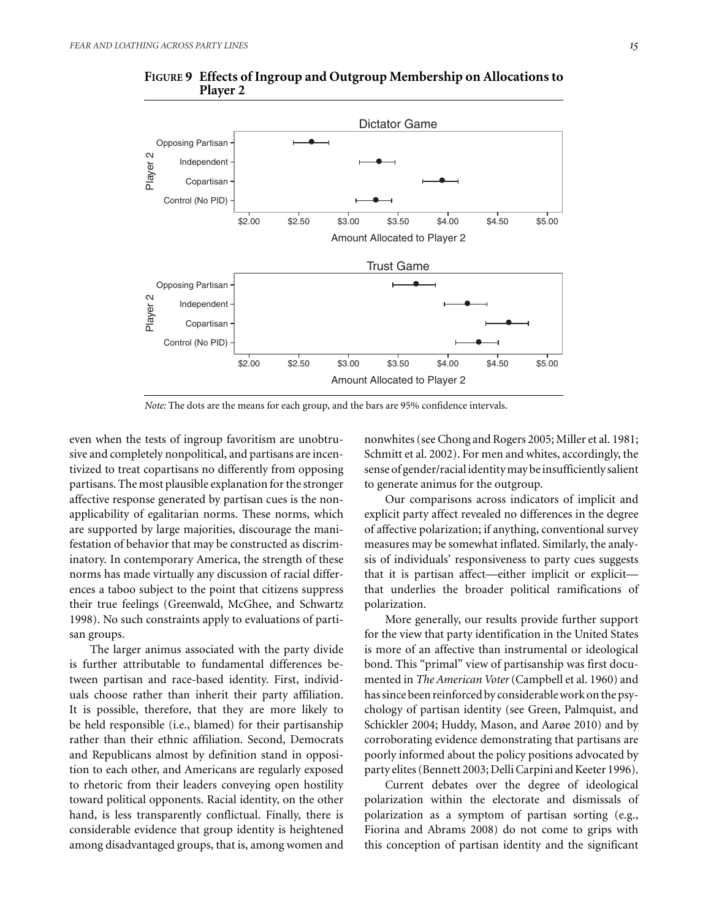

**FIGURE 9 Effects of Ingroup and Outgroup Membership on Allocations to Player 2**

*Note:* The dots are the means for each group, and the bars are 95% confidence intervals.

even when the tests of ingroup favoritism are unobtrusive and completely nonpolitical, and partisans are incentivized to treat copartisans no differently from opposing partisans. The most plausible explanation for the stronger affective response generated by partisan cues is the nonapplicability of egalitarian norms. These norms, which are supported by large majorities, discourage the manifestation of behavior that may be constructed as discriminatory. In contemporary America, the strength of these norms has made virtually any discussion of racial differences a taboo subject to the point that citizens suppress their true feelings (Greenwald, McGhee, and Schwartz 1998). No such constraints apply to evaluations of partisan groups.

The larger animus associated with the party divide is further attributable to fundamental differences between partisan and race-based identity. First, individuals choose rather than inherit their party affiliation. It is possible, therefore, that they are more likely to be held responsible (i.e., blamed) for their partisanship rather than their ethnic affiliation. Second, Democrats and Republicans almost by definition stand in opposition to each other, and Americans are regularly exposed to rhetoric from their leaders conveying open hostility toward political opponents. Racial identity, on the other hand, is less transparently conflictual. Finally, there is considerable evidence that group identity is heightened among disadvantaged groups, that is, among women and

nonwhites (see Chong and Rogers 2005; Miller et al. 1981; Schmitt et al. 2002). For men and whites, accordingly, the sense of gender/racial identity may be insufficiently salient to generate animus for the outgroup.

Our comparisons across indicators of implicit and explicit party affect revealed no differences in the degree of affective polarization; if anything, conventional survey measures may be somewhat inflated. Similarly, the analysis of individuals' responsiveness to party cues suggests that it is partisan affect—either implicit or explicit that underlies the broader political ramifications of polarization.

More generally, our results provide further support for the view that party identification in the United States is more of an affective than instrumental or ideological bond. This "primal" view of partisanship was first documented in *The American Voter* (Campbell et al. 1960) and has since been reinforced by considerablework on the psychology of partisan identity (see Green, Palmquist, and Schickler 2004; Huddy, Mason, and Aarøe 2010) and by corroborating evidence demonstrating that partisans are poorly informed about the policy positions advocated by party elites (Bennett 2003; Delli Carpini and Keeter 1996).

Current debates over the degree of ideological polarization within the electorate and dismissals of polarization as a symptom of partisan sorting (e.g., Fiorina and Abrams 2008) do not come to grips with this conception of partisan identity and the significant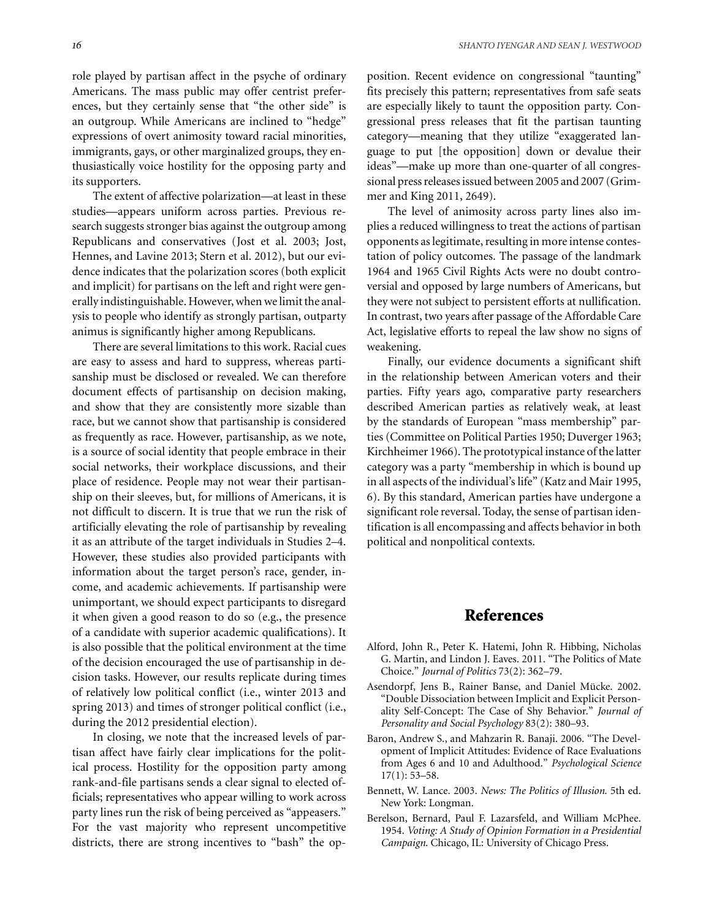role played by partisan affect in the psyche of ordinary Americans. The mass public may offer centrist preferences, but they certainly sense that "the other side" is an outgroup. While Americans are inclined to "hedge" expressions of overt animosity toward racial minorities, immigrants, gays, or other marginalized groups, they enthusiastically voice hostility for the opposing party and its supporters.

The extent of affective polarization—at least in these studies—appears uniform across parties. Previous research suggests stronger bias against the outgroup among Republicans and conservatives (Jost et al. 2003; Jost, Hennes, and Lavine 2013; Stern et al. 2012), but our evidence indicates that the polarization scores (both explicit and implicit) for partisans on the left and right were generally indistinguishable. However, when we limit the analysis to people who identify as strongly partisan, outparty animus is significantly higher among Republicans.

There are several limitations to this work. Racial cues are easy to assess and hard to suppress, whereas partisanship must be disclosed or revealed. We can therefore document effects of partisanship on decision making, and show that they are consistently more sizable than race, but we cannot show that partisanship is considered as frequently as race. However, partisanship, as we note, is a source of social identity that people embrace in their social networks, their workplace discussions, and their place of residence. People may not wear their partisanship on their sleeves, but, for millions of Americans, it is not difficult to discern. It is true that we run the risk of artificially elevating the role of partisanship by revealing it as an attribute of the target individuals in Studies 2–4. However, these studies also provided participants with information about the target person's race, gender, income, and academic achievements. If partisanship were unimportant, we should expect participants to disregard it when given a good reason to do so (e.g., the presence of a candidate with superior academic qualifications). It is also possible that the political environment at the time of the decision encouraged the use of partisanship in decision tasks. However, our results replicate during times of relatively low political conflict (i.e., winter 2013 and spring 2013) and times of stronger political conflict (i.e., during the 2012 presidential election).

In closing, we note that the increased levels of partisan affect have fairly clear implications for the political process. Hostility for the opposition party among rank-and-file partisans sends a clear signal to elected officials; representatives who appear willing to work across party lines run the risk of being perceived as "appeasers." For the vast majority who represent uncompetitive districts, there are strong incentives to "bash" the opposition. Recent evidence on congressional "taunting" fits precisely this pattern; representatives from safe seats are especially likely to taunt the opposition party. Congressional press releases that fit the partisan taunting category—meaning that they utilize "exaggerated language to put [the opposition] down or devalue their ideas"—make up more than one-quarter of all congressional press releases issued between 2005 and 2007 (Grimmer and King 2011, 2649).

The level of animosity across party lines also implies a reduced willingness to treat the actions of partisan opponents as legitimate, resulting in more intense contestation of policy outcomes. The passage of the landmark 1964 and 1965 Civil Rights Acts were no doubt controversial and opposed by large numbers of Americans, but they were not subject to persistent efforts at nullification. In contrast, two years after passage of the Affordable Care Act, legislative efforts to repeal the law show no signs of weakening.

Finally, our evidence documents a significant shift in the relationship between American voters and their parties. Fifty years ago, comparative party researchers described American parties as relatively weak, at least by the standards of European "mass membership" parties (Committee on Political Parties 1950; Duverger 1963; Kirchheimer 1966). The prototypical instance of the latter category was a party "membership in which is bound up in all aspects of the individual's life" (Katz and Mair 1995, 6). By this standard, American parties have undergone a significant role reversal. Today, the sense of partisan identification is all encompassing and affects behavior in both political and nonpolitical contexts.

## **References**

- Alford, John R., Peter K. Hatemi, John R. Hibbing, Nicholas G. Martin, and Lindon J. Eaves. 2011. "The Politics of Mate Choice." *Journal of Politics* 73(2): 362–79.
- Asendorpf, Jens B., Rainer Banse, and Daniel Mücke. 2002. "Double Dissociation between Implicit and Explicit Personality Self-Concept: The Case of Shy Behavior." *Journal of Personality and Social Psychology* 83(2): 380–93.
- Baron, Andrew S., and Mahzarin R. Banaji. 2006. "The Development of Implicit Attitudes: Evidence of Race Evaluations from Ages 6 and 10 and Adulthood." *Psychological Science*  $17(1): 53 - 58.$
- Bennett, W. Lance. 2003. *News: The Politics of Illusion*. 5th ed. New York: Longman.
- Berelson, Bernard, Paul F. Lazarsfeld, and William McPhee. 1954. *Voting: A Study of Opinion Formation in a Presidential Campaign*. Chicago, IL: University of Chicago Press.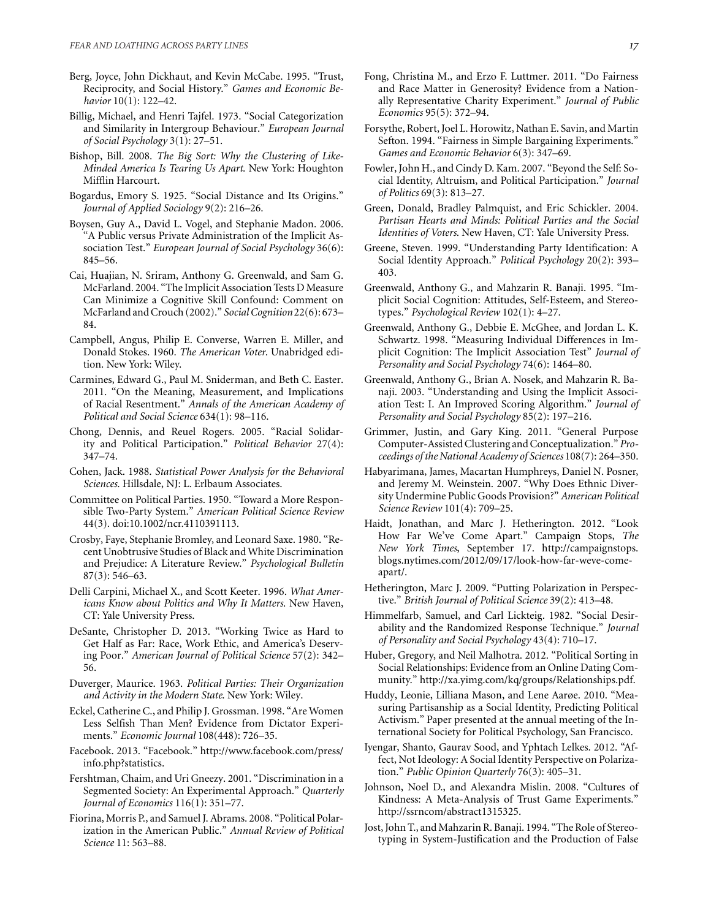- Berg, Joyce, John Dickhaut, and Kevin McCabe. 1995. "Trust, Reciprocity, and Social History." *Games and Economic Behavior* 10(1): 122–42.
- Billig, Michael, and Henri Tajfel. 1973. "Social Categorization and Similarity in Intergroup Behaviour." *European Journal of Social Psychology* 3(1): 27–51.
- Bishop, Bill. 2008. *The Big Sort: Why the Clustering of Like-Minded America Is Tearing Us Apart*. New York: Houghton Mifflin Harcourt.
- Bogardus, Emory S. 1925. "Social Distance and Its Origins." *Journal of Applied Sociology* 9(2): 216–26.
- Boysen, Guy A., David L. Vogel, and Stephanie Madon. 2006. "A Public versus Private Administration of the Implicit Association Test." *European Journal of Social Psychology* 36(6): 845–56.
- Cai, Huajian, N. Sriram, Anthony G. Greenwald, and Sam G. McFarland. 2004. "The Implicit Association Tests D Measure Can Minimize a Cognitive Skill Confound: Comment on McFarland and Crouch (2002)." *Social Cognition* 22(6): 673– 84.
- Campbell, Angus, Philip E. Converse, Warren E. Miller, and Donald Stokes. 1960. *The American Voter*. Unabridged edition. New York: Wiley.
- Carmines, Edward G., Paul M. Sniderman, and Beth C. Easter. 2011. "On the Meaning, Measurement, and Implications of Racial Resentment." *Annals of the American Academy of Political and Social Science* 634(1): 98–116.
- Chong, Dennis, and Reuel Rogers. 2005. "Racial Solidarity and Political Participation." *Political Behavior* 27(4): 347–74.
- Cohen, Jack. 1988. *Statistical Power Analysis for the Behavioral Sciences*. Hillsdale, NJ: L. Erlbaum Associates.
- Committee on Political Parties. 1950. "Toward a More Responsible Two-Party System." *American Political Science Review* 44(3). doi:10.1002/ncr.4110391113.
- Crosby, Faye, Stephanie Bromley, and Leonard Saxe. 1980. "Recent Unobtrusive Studies of Black and White Discrimination and Prejudice: A Literature Review." *Psychological Bulletin* 87(3): 546–63.
- Delli Carpini, Michael X., and Scott Keeter. 1996. *What Americans Know about Politics and Why It Matters*. New Haven, CT: Yale University Press.
- DeSante, Christopher D. 2013. "Working Twice as Hard to Get Half as Far: Race, Work Ethic, and America's Deserving Poor." *American Journal of Political Science* 57(2): 342– 56.
- Duverger, Maurice. 1963. *Political Parties: Their Organization and Activity in the Modern State*. New York: Wiley.
- Eckel, Catherine C., and Philip J. Grossman. 1998. "Are Women Less Selfish Than Men? Evidence from Dictator Experiments." *Economic Journal* 108(448): 726–35.
- Facebook. 2013. "Facebook." http://www.facebook.com/press/ info.php?statistics.
- Fershtman, Chaim, and Uri Gneezy. 2001. "Discrimination in a Segmented Society: An Experimental Approach." *Quarterly Journal of Economics* 116(1): 351–77.
- Fiorina, Morris P., and Samuel J. Abrams. 2008. "Political Polarization in the American Public." *Annual Review of Political Science* 11: 563–88.
- Fong, Christina M., and Erzo F. Luttmer. 2011. "Do Fairness and Race Matter in Generosity? Evidence from a Nationally Representative Charity Experiment." *Journal of Public Economics* 95(5): 372–94.
- Forsythe, Robert, Joel L. Horowitz, Nathan E. Savin, and Martin Sefton. 1994. "Fairness in Simple Bargaining Experiments." *Games and Economic Behavior* 6(3): 347–69.
- Fowler, John H., and Cindy D. Kam. 2007. "Beyond the Self: Social Identity, Altruism, and Political Participation." *Journal of Politics* 69(3): 813–27.
- Green, Donald, Bradley Palmquist, and Eric Schickler. 2004. *Partisan Hearts and Minds: Political Parties and the Social Identities of Voters*. New Haven, CT: Yale University Press.
- Greene, Steven. 1999. "Understanding Party Identification: A Social Identity Approach." *Political Psychology* 20(2): 393– 403.
- Greenwald, Anthony G., and Mahzarin R. Banaji. 1995. "Implicit Social Cognition: Attitudes, Self-Esteem, and Stereotypes." *Psychological Review* 102(1): 4–27.
- Greenwald, Anthony G., Debbie E. McGhee, and Jordan L. K. Schwartz. 1998. "Measuring Individual Differences in Implicit Cognition: The Implicit Association Test" *Journal of Personality and Social Psychology* 74(6): 1464–80.
- Greenwald, Anthony G., Brian A. Nosek, and Mahzarin R. Banaji. 2003. "Understanding and Using the Implicit Association Test: I. An Improved Scoring Algorithm." *Journal of Personality and Social Psychology* 85(2): 197–216.
- Grimmer, Justin, and Gary King. 2011. "General Purpose Computer-Assisted Clustering and Conceptualization." *Proceedings of the National Academy of Sciences* 108(7): 264–350.
- Habyarimana, James, Macartan Humphreys, Daniel N. Posner, and Jeremy M. Weinstein. 2007. "Why Does Ethnic Diversity Undermine Public Goods Provision?" *American Political Science Review* 101(4): 709–25.
- Haidt, Jonathan, and Marc J. Hetherington. 2012. "Look How Far We've Come Apart." Campaign Stops, *The New York Times*, September 17. http://campaignstops. blogs.nytimes.com/2012/09/17/look-how-far-weve-comeapart/.
- Hetherington, Marc J. 2009. "Putting Polarization in Perspective." *British Journal of Political Science* 39(2): 413–48.
- Himmelfarb, Samuel, and Carl Lickteig. 1982. "Social Desirability and the Randomized Response Technique." *Journal of Personality and Social Psychology* 43(4): 710–17.
- Huber, Gregory, and Neil Malhotra. 2012. "Political Sorting in Social Relationships: Evidence from an Online Dating Community." http://xa.yimg.com/kq/groups/Relationships.pdf.
- Huddy, Leonie, Lilliana Mason, and Lene Aarøe. 2010. "Measuring Partisanship as a Social Identity, Predicting Political Activism." Paper presented at the annual meeting of the International Society for Political Psychology, San Francisco.
- Iyengar, Shanto, Gaurav Sood, and Yphtach Lelkes. 2012. "Affect, Not Ideology: A Social Identity Perspective on Polarization." *Public Opinion Quarterly* 76(3): 405–31.
- Johnson, Noel D., and Alexandra Mislin. 2008. "Cultures of Kindness: A Meta-Analysis of Trust Game Experiments." http://ssrncom/abstract1315325.
- Jost, John T., and Mahzarin R. Banaji. 1994. "The Role of Stereotyping in System-Justification and the Production of False